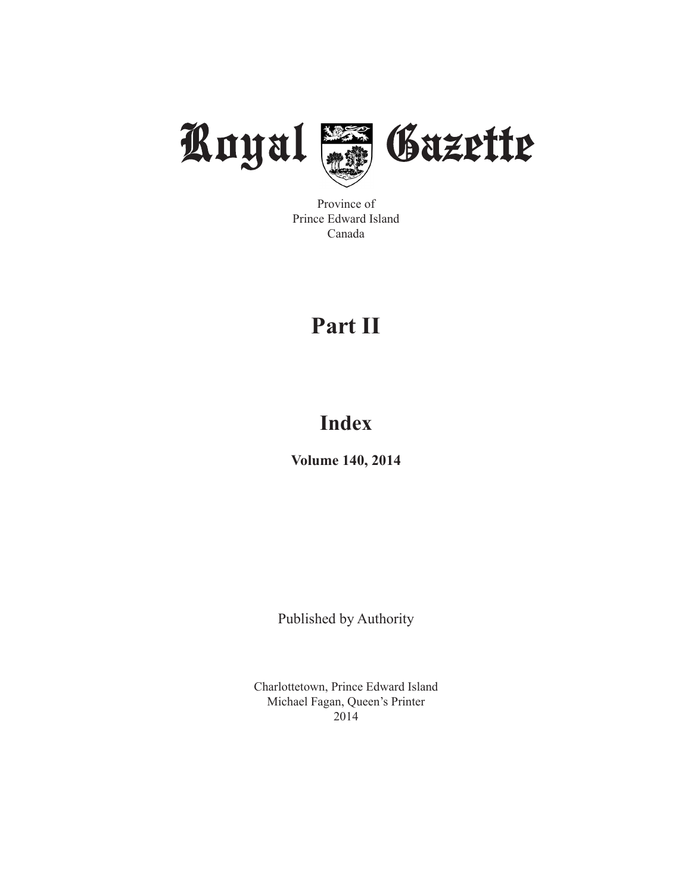

Province of Prince Edward Island Canada

# **Part II**

# **Index**

**Volume 140, 2014**

Published by Authority

Charlottetown, Prince Edward Island Michael Fagan, Queen's Printer 2014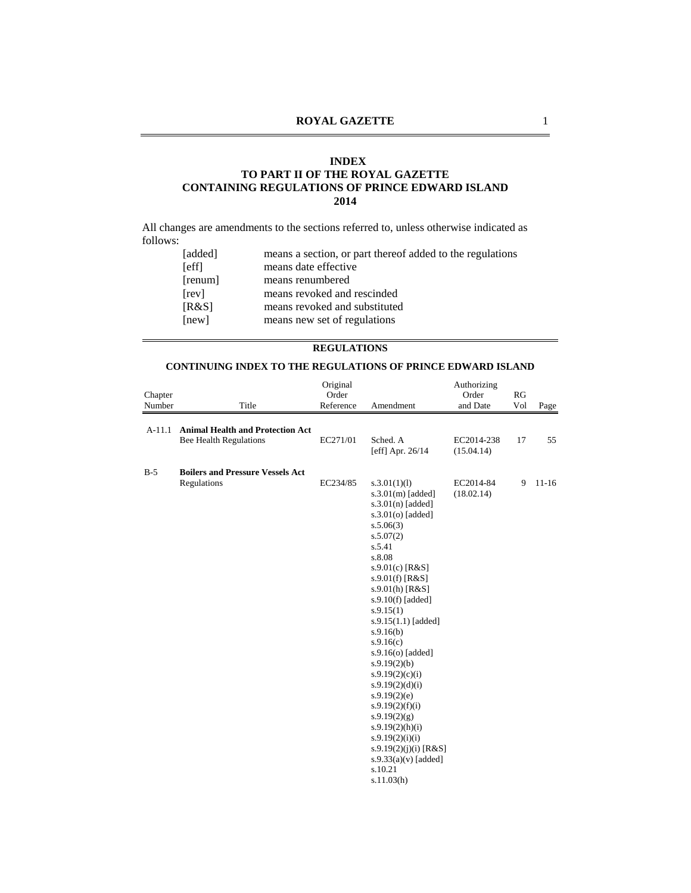#### **INDEX**

## **TO PART II OF THE ROYAL GAZETTE CONTAINING REGULATIONS OF PRINCE EDWARD ISLAND 2014**

All changes are amendments to the sections referred to, unless otherwise indicated as follows:

| [added]     | means a section, or part thereof added to the regulations |
|-------------|-----------------------------------------------------------|
| <b>Seff</b> | means date effective                                      |
| [remum]     | means renumbered                                          |
| [rev]       | means revoked and rescinded                               |
| [R&S]       | means revoked and substituted                             |
| [new]       | means new set of regulations                              |
|             |                                                           |

## **REGULATIONS**

#### **CONTINUING INDEX TO THE REGULATIONS OF PRINCE EDWARD ISLAND**

|          |                                                                          | Original  |                                                                                                                                                                                                                                                                                                                                                                                                                                                                                                                                          | Authorizing              |     |         |
|----------|--------------------------------------------------------------------------|-----------|------------------------------------------------------------------------------------------------------------------------------------------------------------------------------------------------------------------------------------------------------------------------------------------------------------------------------------------------------------------------------------------------------------------------------------------------------------------------------------------------------------------------------------------|--------------------------|-----|---------|
| Chapter  |                                                                          | Order     |                                                                                                                                                                                                                                                                                                                                                                                                                                                                                                                                          | Order                    | RG  |         |
| Number   | Title                                                                    | Reference | Amendment                                                                                                                                                                                                                                                                                                                                                                                                                                                                                                                                | and Date                 | Vol | Page    |
| $A-11.1$ | <b>Animal Health and Protection Act</b><br><b>Bee Health Regulations</b> | EC271/01  | Sched. A<br>[eff] Apr. $26/14$                                                                                                                                                                                                                                                                                                                                                                                                                                                                                                           | EC2014-238<br>(15.04.14) | 17  | 55      |
| $B-5$    | <b>Boilers and Pressure Vessels Act</b><br>Regulations                   | EC234/85  | s.3.01(1)(1)<br>$s.3.01(m)$ [added]<br>$s.3.01(n)$ [added]<br>$s.3.01(o)$ [added]<br>s.5.06(3)<br>s.5.07(2)<br>s.5.41<br>s.8.08<br>s.9.01(c) $[R&S]$<br>$s.9.01(f)$ [R&S]<br>$s.9.01(h)$ [R&S]<br>$s.9.10(f)$ [added]<br>s.9.15(1)<br>$s.9.15(1.1)$ [added]<br>s.9.16(b)<br>s.9.16(c)<br>s.9.16(o) [added]<br>s.9.19(2)(b)<br>s.9.19(2)(c)(i)<br>s.9.19(2)(d)(i)<br>s.9.19(2)(e)<br>s.9.19(2)(f)(i)<br>s.9.19(2)(g)<br>s.9.19(2)(h)(i)<br>s.9.19(2)(i)(i)<br>s.9.19 $(2)(j)(i)$ [R&S]<br>$s.9.33(a)(v)$ [added]<br>s.10.21<br>s.11.03(h) | EC2014-84<br>(18.02.14)  | 9   | $11-16$ |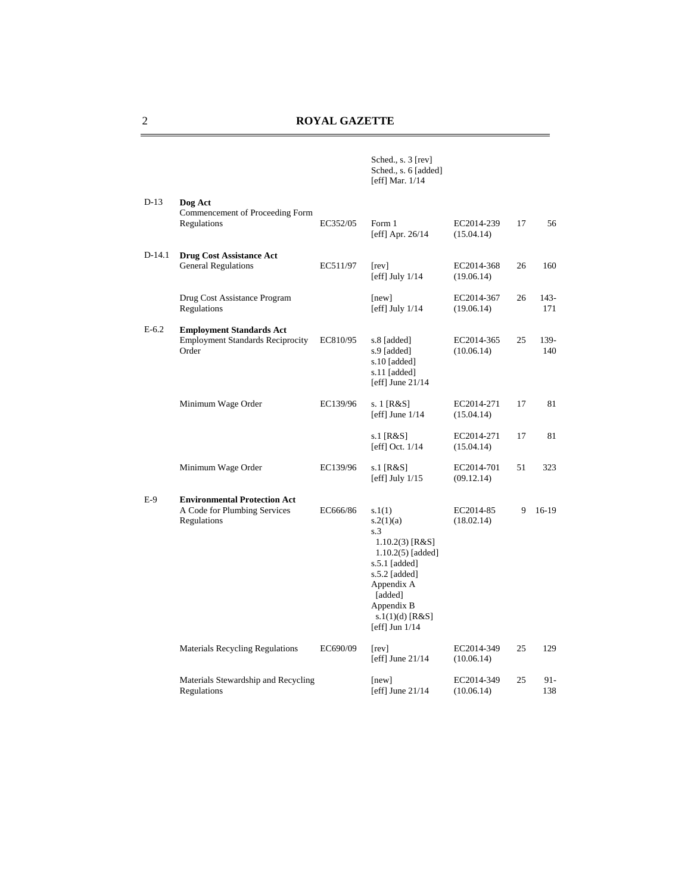|          |                                                                                     |          | Sched., s. 3 [rev]<br>Sched., s. 6 [added]<br>[eff] Mar. $1/14$                                                                                                                        |                          |    |             |
|----------|-------------------------------------------------------------------------------------|----------|----------------------------------------------------------------------------------------------------------------------------------------------------------------------------------------|--------------------------|----|-------------|
| $D-13$   | Dog Act<br>Commencement of Proceeding Form<br>Regulations                           | EC352/05 | Form 1<br>[eff] Apr. $26/14$                                                                                                                                                           | EC2014-239<br>(15.04.14) | 17 | 56          |
| $D-14.1$ | <b>Drug Cost Assistance Act</b><br><b>General Regulations</b>                       | EC511/97 | [rev]<br>[eff] July $1/14$                                                                                                                                                             | EC2014-368<br>(19.06.14) | 26 | 160         |
|          | Drug Cost Assistance Program<br>Regulations                                         |          | [new]<br>[eff] July $1/14$                                                                                                                                                             | EC2014-367<br>(19.06.14) | 26 | 143-<br>171 |
| E-6.2    | <b>Employment Standards Act</b><br><b>Employment Standards Reciprocity</b><br>Order | EC810/95 | s.8 [added]<br>s.9 [added]<br>s.10 [added]<br>s.11 [added]<br>[eff] June $21/14$                                                                                                       | EC2014-365<br>(10.06.14) | 25 | 139-<br>140 |
|          | Minimum Wage Order                                                                  | EC139/96 | s. 1 [R&S]<br>[eff] June $1/14$                                                                                                                                                        | EC2014-271<br>(15.04.14) | 17 | 81          |
|          |                                                                                     |          | s.1 $[R&S]$<br>[eff] Oct. 1/14                                                                                                                                                         | EC2014-271<br>(15.04.14) | 17 | 81          |
|          | Minimum Wage Order                                                                  | EC139/96 | s.1 [R&S]<br>[eff] July $1/15$                                                                                                                                                         | EC2014-701<br>(09.12.14) | 51 | 323         |
| E-9      | <b>Environmental Protection Act</b><br>A Code for Plumbing Services<br>Regulations  | EC666/86 | s.1(1)<br>s.2(1)(a)<br>s.3<br>$1.10.2(3)$ [R&S]<br>1.10.2(5) [added]<br>s.5.1 [added]<br>s.5.2 [added]<br>Appendix A<br>[added]<br>Appendix B<br>$s.1(1)(d)$ [R&S]<br>[eff] Jun $1/14$ | EC2014-85<br>(18.02.14)  | 9  | $16-19$     |
|          | <b>Materials Recycling Regulations</b>                                              | EC690/09 | [rev]<br>[eff] June $21/14$                                                                                                                                                            | EC2014-349<br>(10.06.14) | 25 | 129         |
|          | Materials Stewardship and Recycling<br>Regulations                                  |          | [new]<br>[eff] June $21/14$                                                                                                                                                            | EC2014-349<br>(10.06.14) | 25 | 91-<br>138  |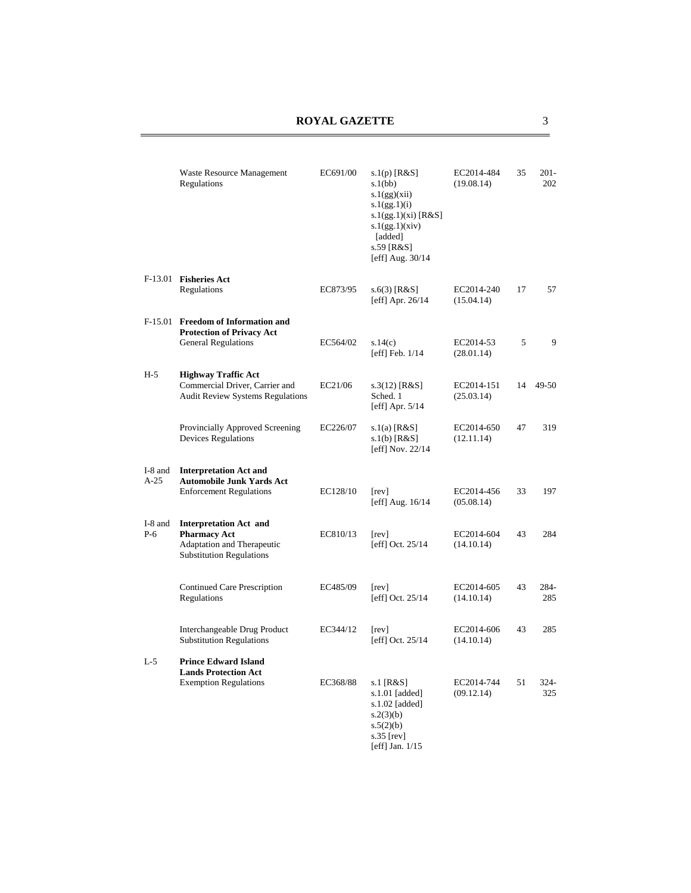|                  | <b>Waste Resource Management</b><br>Regulations                                                                       | EC691/00 | s.1(p) $[R&S]$<br>s.1(bb)<br>s.1(gg)(xii)<br>s.1(gg.1)(i)<br>s.1(gg.1)(xi) [ $R&S$ ]<br>s.1(gg.1)(xiv)<br>[added]<br>s.59 [R&S]<br>[eff] Aug. $30/14$ | EC2014-484<br>(19.08.14) | 35 | $201 -$<br>202 |
|------------------|-----------------------------------------------------------------------------------------------------------------------|----------|-------------------------------------------------------------------------------------------------------------------------------------------------------|--------------------------|----|----------------|
|                  | F-13.01 Fisheries Act<br>Regulations                                                                                  | EC873/95 | $s.6(3)$ [R&S]<br>[eff] Apr. $26/14$                                                                                                                  | EC2014-240<br>(15.04.14) | 17 | 57             |
|                  | F-15.01 Freedom of Information and<br><b>Protection of Privacy Act</b>                                                |          |                                                                                                                                                       |                          |    |                |
|                  | <b>General Regulations</b>                                                                                            | EC564/02 | s.14(c)<br>[eff] Feb. $1/14$                                                                                                                          | EC2014-53<br>(28.01.14)  | 5  | 9              |
| $H-5$            | <b>Highway Traffic Act</b><br>Commercial Driver, Carrier and<br><b>Audit Review Systems Regulations</b>               | EC21/06  | $s.3(12)$ [R&S]<br>Sched. 1<br>[eff] Apr. $5/14$                                                                                                      | EC2014-151<br>(25.03.14) | 14 | 49-50          |
|                  | Provincially Approved Screening<br><b>Devices Regulations</b>                                                         | EC226/07 | s.1(a) $[R&S]$<br>$s.1(b)$ [R&S]<br>[eff] Nov. $22/14$                                                                                                | EC2014-650<br>(12.11.14) | 47 | 319            |
| I-8 and          | <b>Interpretation Act and</b>                                                                                         |          |                                                                                                                                                       |                          |    |                |
| $A-25$           | <b>Automobile Junk Yards Act</b><br><b>Enforcement Regulations</b>                                                    | EC128/10 | [rev]<br>[eff] Aug. $16/14$                                                                                                                           | EC2014-456<br>(05.08.14) | 33 | 197            |
| I-8 and<br>$P-6$ | <b>Interpretation Act and</b><br><b>Pharmacy Act</b><br>Adaptation and Therapeutic<br><b>Substitution Regulations</b> | EC810/13 | [rev]<br>[eff] Oct. $25/14$                                                                                                                           | EC2014-604<br>(14.10.14) | 43 | 284            |
|                  | Continued Care Prescription<br>Regulations                                                                            | EC485/09 | [rev]<br>[eff] Oct. 25/14                                                                                                                             | EC2014-605<br>(14.10.14) | 43 | 284-<br>285    |
|                  | Interchangeable Drug Product<br><b>Substitution Regulations</b>                                                       | EC344/12 | [rev]<br>[eff] Oct. 25/14                                                                                                                             | EC2014-606<br>(14.10.14) | 43 | 285            |
| $L-5$            | <b>Prince Edward Island</b><br><b>Lands Protection Act</b><br><b>Exemption Regulations</b>                            | EC368/88 | s.1 $[R&S]$<br>s.1.01 [added]<br>s.1.02 [added]<br>s.2(3)(b)<br>s.5(2)(b)<br>s.35 [ $rev$ ]<br>[eff] Jan. $1/15$                                      | EC2014-744<br>(09.12.14) | 51 | 324-<br>325    |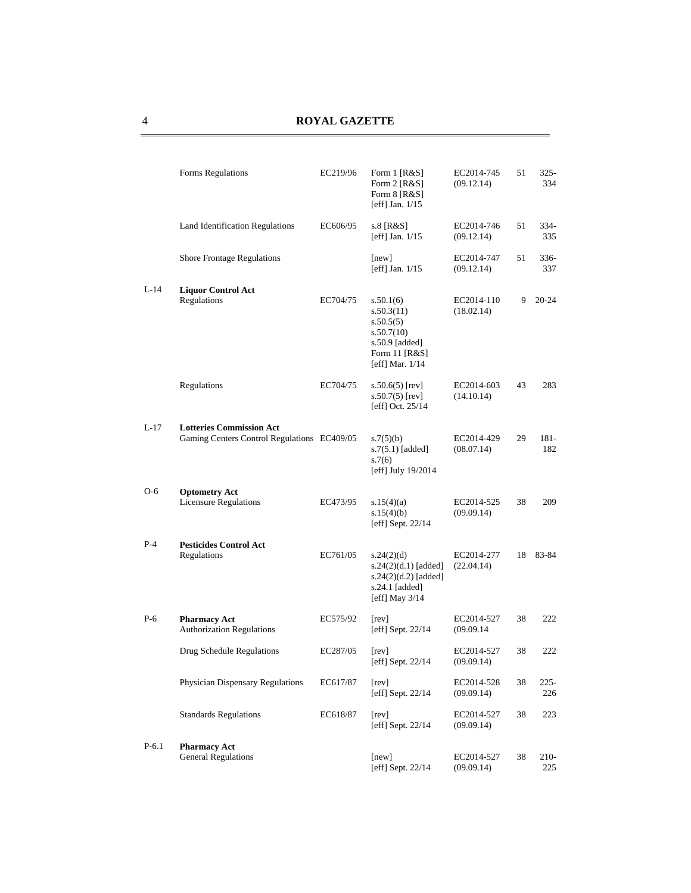| Forms Regulations                                       | EC219/96 | Form 1 [R&S]<br>Form 2 [R&S]<br>Form $8$ [R&S]<br>[eff] Jan. $1/15$                                        | EC2014-745<br>(09.12.14) | 51         | $325 -$<br>334 |
|---------------------------------------------------------|----------|------------------------------------------------------------------------------------------------------------|--------------------------|------------|----------------|
| Land Identification Regulations                         | EC606/95 | s.8 [R&S]<br>[eff] Jan. $1/15$                                                                             | EC2014-746<br>(09.12.14) | 51         | $334-$<br>335  |
| <b>Shore Frontage Regulations</b>                       |          | [new]<br>[eff] Jan. $1/15$                                                                                 | EC2014-747<br>(09.12.14) | 51         | $336-$<br>337  |
| <b>Liquor Control Act</b><br>Regulations                | EC704/75 | s.50.1(6)<br>s.50.3(11)<br>s.50.5(5)<br>s.50.7(10)<br>s.50.9 [added]<br>Form 11 [R&S]<br>[eff] Mar. $1/14$ | EC2014-110<br>(18.02.14) | 9          | $20 - 24$      |
| Regulations                                             | EC704/75 | $s.50.6(5)$ [rev]<br>$s.50.7(5)$ [rev]<br>[eff] Oct. 25/14                                                 | EC2014-603<br>(14.10.14) | 43         | 283            |
| <b>Lotteries Commission Act</b>                         |          | s.7(5)(b)<br>$s.7(5.1)$ [added]<br>s.7(6)<br>[eff] July 19/2014                                            | EC2014-429<br>(08.07.14) | 29         | 181-<br>182    |
| <b>Optometry Act</b><br><b>Licensure Regulations</b>    | EC473/95 | s.15(4)(a)<br>s.15(4)(b)<br>[eff] Sept. $22/14$                                                            | EC2014-525<br>(09.09.14) | 38         | 209            |
| <b>Pesticides Control Act</b><br>Regulations            | EC761/05 | s.24(2)(d)<br>$s.24(2)(d.1)$ [added]<br>$s.24(2)(d.2)$ [added]<br>s.24.1 [added]<br>[eff] May $3/14$       | EC2014-277<br>(22.04.14) | 18         | 83-84          |
| <b>Pharmacy Act</b><br><b>Authorization Regulations</b> | EC575/92 | [rev]<br>[eff] Sept. 22/14                                                                                 | EC2014-527<br>(09.09.14) | 38         | 222            |
| Drug Schedule Regulations                               | EC287/05 | [rev]<br>[eff] Sept. $22/14$                                                                               | EC2014-527<br>(09.09.14) | 38         | 222            |
| Physician Dispensary Regulations                        | EC617/87 | [rev]<br>[eff] Sept. 22/14                                                                                 | EC2014-528<br>(09.09.14) | 38         | $225 -$<br>226 |
| <b>Standards Regulations</b>                            | EC618/87 | [rev]<br>[eff] Sept. $22/14$                                                                               | EC2014-527<br>(09.09.14) | 38         | 223            |
| <b>Pharmacy Act</b><br><b>General Regulations</b>       |          | [new]                                                                                                      | EC2014-527               | 38         | 210-<br>225    |
|                                                         |          | Gaming Centers Control Regulations EC409/05                                                                | [eff] Sept. 22/14        | (09.09.14) |                |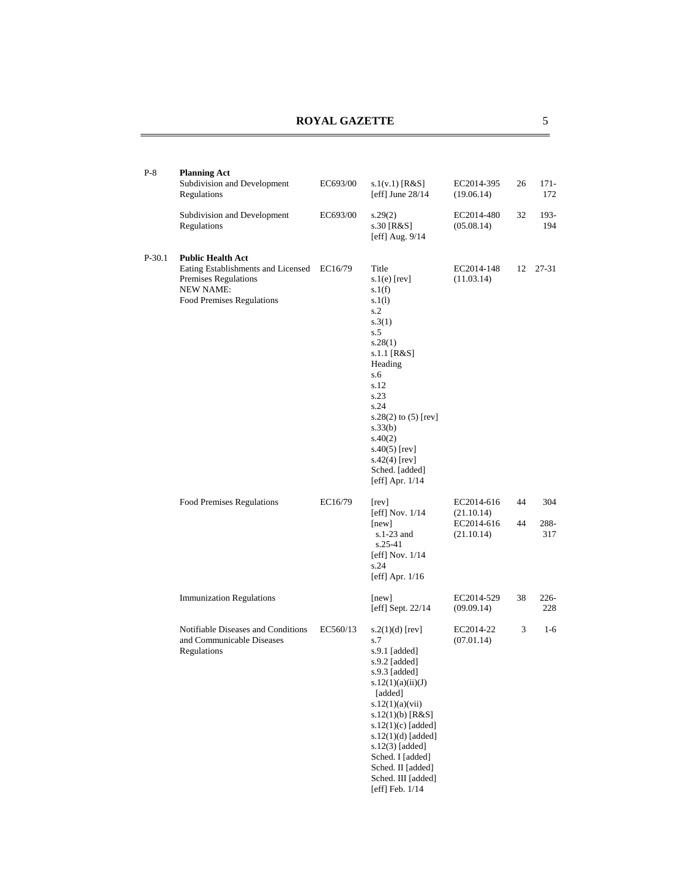| $P-8$    | <b>Planning Act</b><br>Subdivision and Development<br>Regulations                                                                       | EC693/00 | s.1(v.1) [ $R&S$ ]<br>[eff] June $28/14$                                                                                                                                                                                                                                                                      | EC2014-395<br>(19.06.14)                             | 26       | $171 -$<br>172     |
|----------|-----------------------------------------------------------------------------------------------------------------------------------------|----------|---------------------------------------------------------------------------------------------------------------------------------------------------------------------------------------------------------------------------------------------------------------------------------------------------------------|------------------------------------------------------|----------|--------------------|
|          | Subdivision and Development<br>Regulations                                                                                              | EC693/00 | s.29(2)<br>s.30 [R&S]<br>[eff] Aug. 9/14                                                                                                                                                                                                                                                                      | EC2014-480<br>(05.08.14)                             | 32       | 193-<br>194        |
| $P-30.1$ | <b>Public Health Act</b><br>Eating Establishments and Licensed<br>Premises Regulations<br><b>NEW NAME:</b><br>Food Premises Regulations | EC16/79  | Title<br>$s.1(e)$ [rev]<br>s.1(f)<br>s.1(l)<br>s.2<br>s.3(1)<br>s.5<br>s.28(1)<br>s.1.1 [R&S]<br>Heading<br>s.6<br>s.12<br>s.23<br>s.24<br>s.28(2) to $(5)$ [rev]<br>s.33(b)<br>s.40(2)<br>s.40(5) [rev]<br>$s.42(4)$ [rev]<br>Sched. [added]<br>[eff] Apr. $1/14$                                            | EC2014-148<br>(11.03.14)                             |          | 12 27-31           |
|          | Food Premises Regulations                                                                                                               | EC16/79  | [rev]<br>[eff] Nov. $1/14$<br>[new]<br>$s.1-23$ and<br>$s.25-41$<br>[eff] Nov. $1/14$<br>s.24<br>[eff] Apr. $1/16$                                                                                                                                                                                            | EC2014-616<br>(21.10.14)<br>EC2014-616<br>(21.10.14) | 44<br>44 | 304<br>288-<br>317 |
|          | <b>Immunization Regulations</b>                                                                                                         |          | [new]<br>[eff] Sept. $22/14$                                                                                                                                                                                                                                                                                  | EC2014-529<br>(09.09.14)                             | 38       | $226-$<br>228      |
|          | Notifiable Diseases and Conditions<br>and Communicable Diseases<br>Regulations                                                          | EC560/13 | $s.2(1)(d)$ [rev]<br>s.7<br>$s.9.1$ [added]<br>s.9.2 [added]<br>s.9.3 [added]<br>s.12(1)(a)(ii)(J)<br>[added]<br>s.12(1)(a)(vii)<br>s.12(1)(b) $[R&S]$<br>$s.12(1)(c)$ [added]<br>$s.12(1)(d)$ [added]<br>$s.12(3)$ [added]<br>Sched. I [added]<br>Sched. II [added]<br>Sched. III [added]<br>[eff] Feb. 1/14 | EC2014-22<br>(07.01.14)                              | 3        | 1-6                |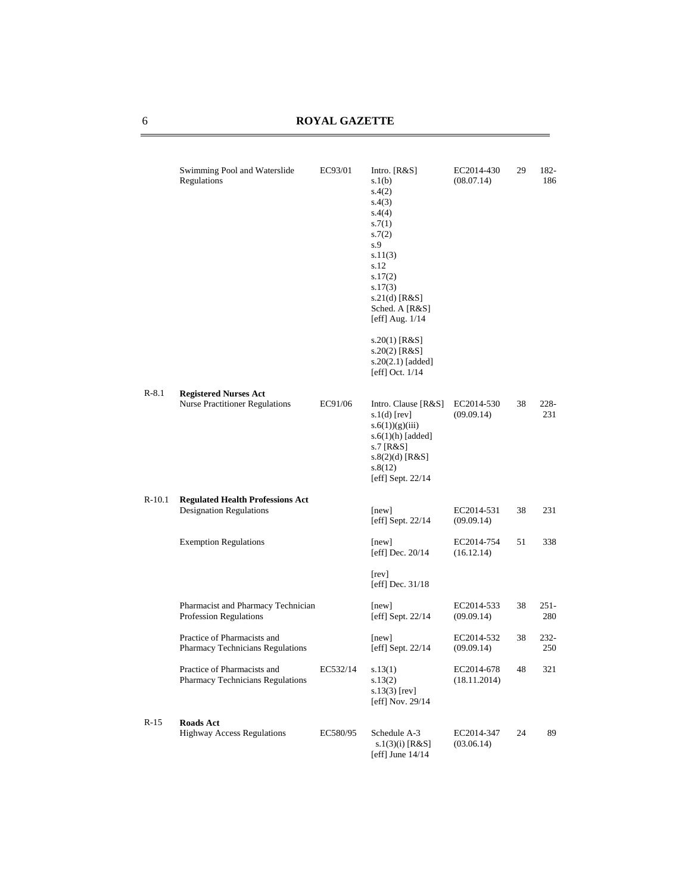|          | Swimming Pool and Waterslide<br>Regulations                               | EC93/01  | Intro. $[R&S]$<br>s.1(b)<br>s.4(2)<br>s.4(3)<br>s.4(4)<br>s.7(1)<br>s.7(2)<br>s.9<br>s.11(3)<br>s.12<br>s.17(2)<br>s.17(3)<br>$s.21(d)$ [R&S]<br>Sched. A [R&S]<br>[eff] Aug. $1/14$ | EC2014-430<br>(08.07.14)   | 29 | 182-<br>186    |
|----------|---------------------------------------------------------------------------|----------|--------------------------------------------------------------------------------------------------------------------------------------------------------------------------------------|----------------------------|----|----------------|
|          |                                                                           |          | s.20(1) [R&S]<br>s.20(2) [R&S]<br>s.20(2.1) [added]<br>[eff] Oct. $1/14$                                                                                                             |                            |    |                |
| $R-8.1$  | <b>Registered Nurses Act</b><br><b>Nurse Practitioner Regulations</b>     | EC91/06  | Intro. Clause [R&S]<br>s. $1(d)$ [rev]<br>$s.6(1))$ (g)(iii)<br>$s.6(1)(h)$ [added]<br>s.7 [R&S]<br>$s.8(2)(d)$ [R&S]<br>s.8(12)<br>[eff] Sept. $22/14$                              | EC2014-530<br>(09.09.14)   | 38 | 228-<br>231    |
| $R-10.1$ | <b>Regulated Health Professions Act</b><br><b>Designation Regulations</b> |          | [new]<br>[eff] Sept. $22/14$                                                                                                                                                         | EC2014-531<br>(09.09.14)   | 38 | 231            |
|          | <b>Exemption Regulations</b>                                              |          | [new]<br>[eff] Dec. $20/14$                                                                                                                                                          | EC2014-754<br>(16.12.14)   | 51 | 338            |
|          |                                                                           |          | [rev]<br>[eff] Dec. 31/18                                                                                                                                                            |                            |    |                |
|          | Pharmacist and Pharmacy Technician<br>Profession Regulations              |          | [new]<br>[eff] Sept. $22/14$                                                                                                                                                         | EC2014-533<br>(09.09.14)   | 38 | $251 -$<br>280 |
|          | Practice of Pharmacists and<br>Pharmacy Technicians Regulations           |          | [new]<br>[eff] Sept. $22/14$                                                                                                                                                         | EC2014-532<br>(09.09.14)   | 38 | 232-<br>250    |
|          | Practice of Pharmacists and<br>Pharmacy Technicians Regulations           | EC532/14 | s.13(1)<br>s.13(2)<br>$s.13(3)$ [rev]<br>[eff] Nov. 29/14                                                                                                                            | EC2014-678<br>(18.11.2014) | 48 | 321            |
| $R-15$   | <b>Roads Act</b><br><b>Highway Access Regulations</b>                     | EC580/95 | Schedule A-3<br>s.1(3)(i) [R&S]<br>[eff] June $14/14$                                                                                                                                | EC2014-347<br>(03.06.14)   | 24 | 89             |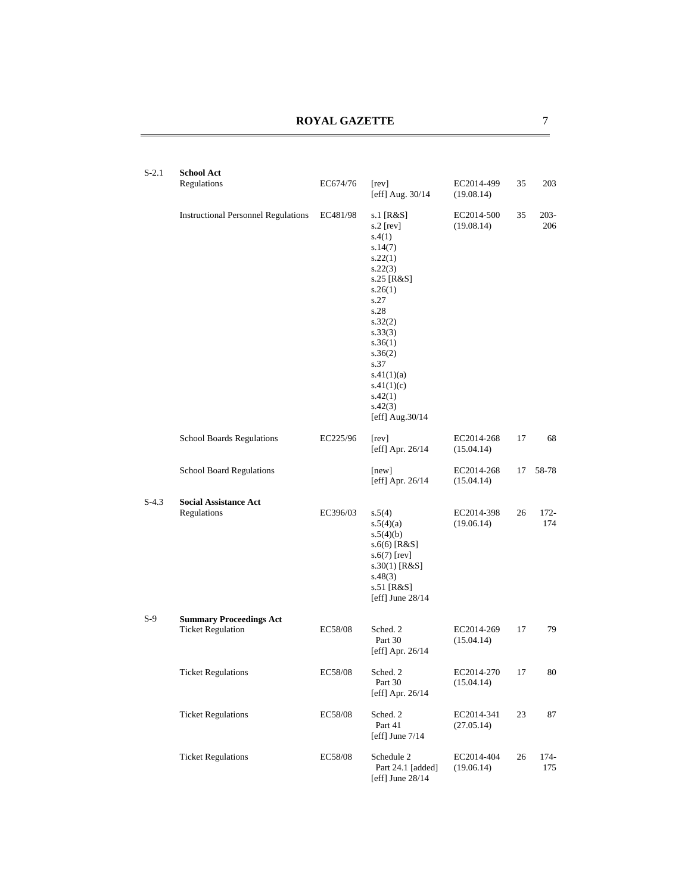| $S-2.1$ | <b>School Act</b><br>Regulations                           | EC674/76 | [rev]<br>[eff] Aug. 30/14                                                                                                                                                                                                             | EC2014-499<br>(19.08.14) | 35 | 203            |
|---------|------------------------------------------------------------|----------|---------------------------------------------------------------------------------------------------------------------------------------------------------------------------------------------------------------------------------------|--------------------------|----|----------------|
|         | <b>Instructional Personnel Regulations</b>                 | EC481/98 | s.1 [R&S]<br>s.2 [rev]<br>s.4(1)<br>s.14(7)<br>s.22(1)<br>s.22(3)<br>s.25 [R&S]<br>s.26(1)<br>s.27<br>s.28<br>s.32(2)<br>s.33(3)<br>s.36(1)<br>s.36(2)<br>s.37<br>s.41(1)(a)<br>s.41(1)(c)<br>s.42(1)<br>s.42(3)<br>[eff] $Aug.30/14$ | EC2014-500<br>(19.08.14) | 35 | $203 -$<br>206 |
|         | <b>School Boards Regulations</b>                           | EC225/96 | [rev]<br>[eff] Apr. 26/14                                                                                                                                                                                                             | EC2014-268<br>(15.04.14) | 17 | 68             |
|         | <b>School Board Regulations</b>                            |          | [new]<br>[eff] Apr. $26/14$                                                                                                                                                                                                           | EC2014-268<br>(15.04.14) | 17 | 58-78          |
| $S-4.3$ | <b>Social Assistance Act</b><br>Regulations                | EC396/03 | s.5(4)<br>s.5(4)(a)<br>s.5(4)(b)<br>$s.6(6)$ [R&S]<br>$s.6(7)$ [rev]<br>$s.30(1)$ [R&S]<br>s.48(3)<br>s.51 [R&S]<br>[eff] June $28/14$                                                                                                | EC2014-398<br>(19.06.14) | 26 | $172 -$<br>174 |
| $S-9$   | <b>Summary Proceedings Act</b><br><b>Ticket Regulation</b> | EC58/08  | Sched. 2<br>Part 30<br>[eff] Apr. $26/14$                                                                                                                                                                                             | EC2014-269<br>(15.04.14) | 17 | 79             |
|         | <b>Ticket Regulations</b>                                  | EC58/08  | Sched. 2<br>Part 30<br>[eff] Apr. 26/14                                                                                                                                                                                               | EC2014-270<br>(15.04.14) | 17 | 80             |
|         | <b>Ticket Regulations</b>                                  | EC58/08  | Sched. 2<br>Part 41<br>[eff] June $7/14$                                                                                                                                                                                              | EC2014-341<br>(27.05.14) | 23 | 87             |
|         | <b>Ticket Regulations</b>                                  | EC58/08  | Schedule 2<br>Part 24.1 [added]<br>[eff] June $28/14$                                                                                                                                                                                 | EC2014-404<br>(19.06.14) | 26 | 174-<br>175    |